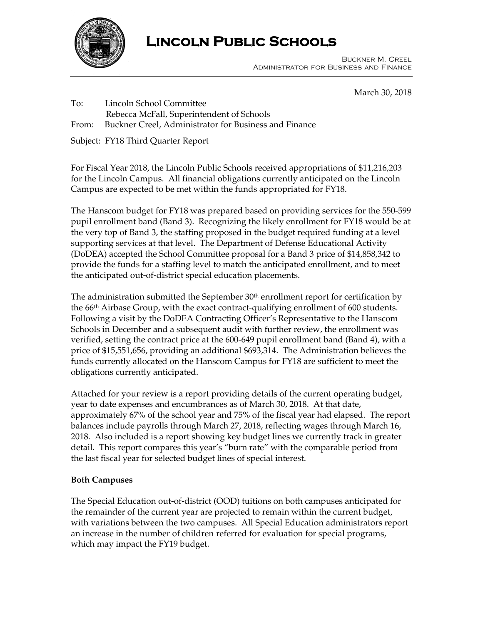

# **Lincoln Public Schools**

 Buckner M. Creel Administrator for Business and Finance

March 30, 2018

To: Lincoln School Committee

- Rebecca McFall, Superintendent of Schools
- From: Buckner Creel, Administrator for Business and Finance

Subject: FY18 Third Quarter Report

For Fiscal Year 2018, the Lincoln Public Schools received appropriations of \$11,216,203 for the Lincoln Campus. All financial obligations currently anticipated on the Lincoln Campus are expected to be met within the funds appropriated for FY18.

The Hanscom budget for FY18 was prepared based on providing services for the 550-599 pupil enrollment band (Band 3). Recognizing the likely enrollment for FY18 would be at the very top of Band 3, the staffing proposed in the budget required funding at a level supporting services at that level. The Department of Defense Educational Activity (DoDEA) accepted the School Committee proposal for a Band 3 price of \$14,858,342 to provide the funds for a staffing level to match the anticipated enrollment, and to meet the anticipated out-of-district special education placements.

The administration submitted the September  $30<sup>th</sup>$  enrollment report for certification by the 66th Airbase Group, with the exact contract-qualifying enrollment of 600 students. Following a visit by the DoDEA Contracting Officer's Representative to the Hanscom Schools in December and a subsequent audit with further review, the enrollment was verified, setting the contract price at the 600-649 pupil enrollment band (Band 4), with a price of \$15,551,656, providing an additional \$693,314. The Administration believes the funds currently allocated on the Hanscom Campus for FY18 are sufficient to meet the obligations currently anticipated.

Attached for your review is a report providing details of the current operating budget, year to date expenses and encumbrances as of March 30, 2018. At that date, approximately 67% of the school year and 75% of the fiscal year had elapsed. The report balances include payrolls through March 27, 2018, reflecting wages through March 16, 2018. Also included is a report showing key budget lines we currently track in greater detail. This report compares this year's "burn rate" with the comparable period from the last fiscal year for selected budget lines of special interest.

# **Both Campuses**

The Special Education out-of-district (OOD) tuitions on both campuses anticipated for the remainder of the current year are projected to remain within the current budget, with variations between the two campuses. All Special Education administrators report an increase in the number of children referred for evaluation for special programs, which may impact the FY19 budget.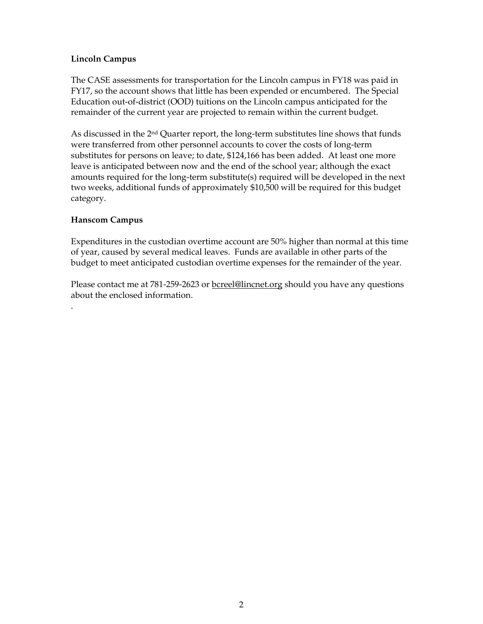# **Lincoln Campus**

The CASE assessments for transportation for the Lincoln campus in FY18 was paid in FY17, so the account shows that little has been expended or encumbered. The Special Education out-of-district (OOD) tuitions on the Lincoln campus anticipated for the remainder of the current year are projected to remain within the current budget.

As discussed in the 2nd Quarter report, the long-term substitutes line shows that funds were transferred from other personnel accounts to cover the costs of long-term substitutes for persons on leave; to date, \$124,166 has been added. At least one more leave is anticipated between now and the end of the school year; although the exact amounts required for the long-term substitute(s) required will be developed in the next two weeks, additional funds of approximately \$10,500 will be required for this budget category.

### **Hanscom Campus**

.

Expenditures in the custodian overtime account are 50% higher than normal at this time of year, caused by several medical leaves. Funds are available in other parts of the budget to meet anticipated custodian overtime expenses for the remainder of the year.

Please contact me at 781-259-2623 or **bcreel@lincnet.org** should you have any questions about the enclosed information.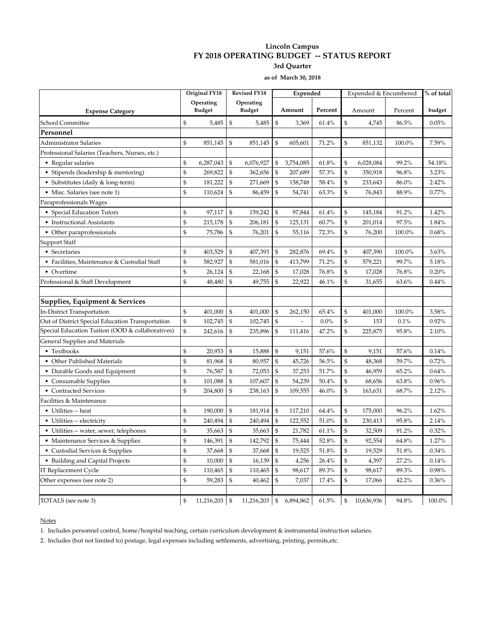#### **Lincoln Campus FY 2018 OPERATING BUDGET -- STATUS REPORT 3rd Quarter**

**as of March 30, 2018**

|                                                  |    | Original FY18              |                | <b>Revised FY18</b>        |                | Expended  |         |    | Expended & Encumbered | $\sqrt[9]{\phantom{1}}$ of total |          |
|--------------------------------------------------|----|----------------------------|----------------|----------------------------|----------------|-----------|---------|----|-----------------------|----------------------------------|----------|
| <b>Expense Category</b>                          |    | Operating<br><b>Budget</b> |                | Operating<br><b>Budget</b> |                | Amount    | Percent |    | Amount                | Percent                          | budget   |
| School Committee                                 | \$ | 5,485                      | \$             | 5,485                      | \$             | 3,369     | 61.4%   | \$ | 4,745                 | 86.5%                            | 0.05%    |
| Personnel                                        |    |                            |                |                            |                |           |         |    |                       |                                  |          |
| <b>Administrator Salaries</b>                    | \$ | 851,145                    | \$             | 851,145                    | \$             | 605,601   | 71.2%   | \$ | 851,132               | 100.0%                           | 7.59%    |
| Professional Salaries (Teachers, Nurses, etc.)   |    |                            |                |                            |                |           |         |    |                       |                                  |          |
| • Regular salaries                               | \$ | 6,287,043                  | \$             | 6,076,927                  | \$             | 3,754,085 | 61.8%   | \$ | 6,028,084             | 99.2%                            | 54.18%   |
| • Stipends (leadership & mentoring)              | \$ | 269,822                    | \$             | 362,656                    | \$             | 207,689   | 57.3%   | \$ | 350,918               | 96.8%                            | 3.23%    |
| • Substitutes (daily & long-term)                | \$ | 181,222                    | $\mathfrak{S}$ | 271,669                    | $\mathfrak{S}$ | 158,748   | 58.4%   | \$ | 233,643               | 86.0%                            | 2.42%    |
| • Misc. Salaries (see note 1)                    | \$ | 110,624                    | \$             | 86,459                     | $\mathfrak{S}$ | 54,741    | 63.3%   | \$ | 76,843                | 88.9%                            | 0.77%    |
| Paraprofessionals Wages                          |    |                            |                |                            |                |           |         |    |                       |                                  |          |
| • Special Education Tutors                       | \$ | 97,117                     | \$             | 159,242                    | \$             | 97,844    | 61.4%   | \$ | 145,184               | 91.2%                            | 1.42%    |
| • Instructional Assistants                       | \$ | 215,178                    | \$             | 206,181                    | \$             | 125,131   | 60.7%   | \$ | 201,014               | 97.5%                            | 1.84%    |
| • Other paraprofessionals                        | \$ | 75,786                     | \$             | 76,201                     | $\mathcal{S}$  | 55,116    | 72.3%   | \$ | 76,200                | 100.0%                           | 0.68%    |
| Support Staff                                    |    |                            |                |                            |                |           |         |    |                       |                                  |          |
| • Secretaries                                    | \$ | 403,529                    | \$             | 407,393                    | \$             | 282,876   | 69.4%   | \$ | 407,390               | 100.0%                           | 3.63%    |
| • Facilities, Maintenance & Custodial Staff      | \$ | 582,927                    | \$             | 581,016                    | \$             | 413,799   | 71.2%   | \$ | 579,221               | 99.7%                            | 5.18%    |
| • Overtime                                       | \$ | 26,124                     | \$             | 22,168                     | \$             | 17,028    | 76.8%   | \$ | 17,028                | 76.8%                            | 0.20%    |
| Professional & Staff Development                 | \$ | 48,480                     | $\mathfrak{S}$ | 49,755                     | $\mathfrak{S}$ | 22,922    | 46.1%   | \$ | 31,655                | 63.6%                            | 0.44%    |
| Supplies, Equipment & Services                   |    |                            |                |                            |                |           |         |    |                       |                                  |          |
| In-District Transportation                       | \$ | 401,000                    | $\mathfrak{S}$ | 401,000                    | \$             | 262,150   | 65.4%   | \$ | 401,000               | 100.0%                           | 3.58%    |
| Out of District Special Education Transportation | \$ | 102,745                    | \$             | 102,745                    | \$             |           | $0.0\%$ | \$ | 153                   | 0.1%                             | 0.92%    |
| Special Education Tuition (OOD & collaboratives) | \$ | 242,616                    | $\mathfrak{S}$ | 235,896                    | \$             | 111,416   | 47.2%   | \$ | 225,875               | 95.8%                            | 2.10%    |
| General Supplies and Materials                   |    |                            |                |                            |                |           |         |    |                       |                                  |          |
| • Textbooks                                      | \$ | 20,953                     | \$             | 15,888                     | \$             | 9,151     | 57.6%   | \$ | 9,151                 | 57.6%                            | 0.14%    |
| • Other Published Materials                      | \$ | 81,968                     | \$             | 80,957                     | \$             | 45,726    | 56.5%   | \$ | 48,368                | 59.7%                            | 0.72%    |
| • Durable Goods and Equipment                    | \$ | 76,587                     | \$             | 72,053                     | \$             | 37,253    | 51.7%   | \$ | 46,959                | 65.2%                            | 0.64%    |
| • Consumable Supplies                            | \$ | 101,088                    | $\mathfrak{S}$ | 107,607                    | $\mathcal{S}$  | 54,239    | 50.4%   | \$ | 68,656                | 63.8%                            | 0.96%    |
| • Contracted Services                            | \$ | 204,800                    | \$             | 238,163                    | \$             | 109,555   | 46.0%   | \$ | 163,631               | 68.7%                            | 2.12%    |
| Facilities & Maintenance                         |    |                            |                |                            |                |           |         |    |                       |                                  |          |
| • Utilities -- heat                              | \$ | 190,000                    | \$             | 181,914                    | \$             | 117,210   | 64.4%   | \$ | 175,000               | 96.2%                            | 1.62%    |
| • Utilities -- electricity                       | \$ | 240,494                    | \$             | 240,494                    | \$             | 122,552   | 51.0%   | \$ | 230,413               | 95.8%                            | 2.14%    |
| • Utilities -- water, sewer, telephones          | \$ | 35,663                     | $\mathcal{S}$  | 35,663                     | $\mathcal{S}$  | 21,782    | 61.1%   | \$ | 32,509                | 91.2%                            | 0.32%    |
| • Maintenance Services & Supplies                | \$ | 146,391                    | \$             | 142,792                    | \$             | 75,444    | 52.8%   | \$ | 92,554                | 64.8%                            | 1.27%    |
| • Custodial Services & Supplies                  | \$ | 37,668                     | \$             | 37,668                     | $\mathbb{S}$   | 19,525    | 51.8%   | \$ | 19,529                | 51.8%                            | $0.34\%$ |
| • Building and Capital Projects                  | \$ | 10,000                     | \$             | 16,139                     | \$             | 4,256     | 26.4%   | \$ | 4,397                 | 27.2%                            | $0.14\%$ |
| IT Replacement Cycle                             | \$ | 110,465                    | \$             | 110,465                    | \$             | 98,617    | 89.3%   | \$ | 98,617                | 89.3%                            | 0.98%    |
| Other expenses (see note 2)                      | \$ | 59,283                     | \$             | 40,462                     | \$             | 7,037     | 17.4%   | \$ | 17,066                | 42.2%                            | 0.36%    |
| TOTALS (see note 3)                              | \$ | 11,216,203 \$              |                | 11,216,203                 | \$             | 6,894,862 | 61.5%   | \$ | 10,636,936            | 94.8%                            | 100.0%   |

**Notes** 

1. Includes personnel control, home/hospital teaching, certain curriculum development & instrumental instruction salaries.

2. Includes (but not limited to) postage, legal expenses including settlements, advertising, printing, permits,etc.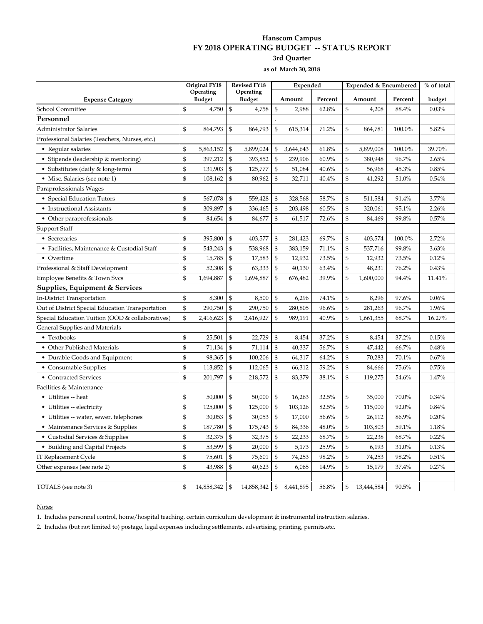#### **Hanscom Campus FY 2018 OPERATING BUDGET -- STATUS REPORT 3rd Quarter**

**as of March 30, 2018**

|                                                  |                            | Original FY18 |                                                 | <b>Revised FY18</b> |                | Expended  |         |                | Expended & Encumbered | % of total |        |
|--------------------------------------------------|----------------------------|---------------|-------------------------------------------------|---------------------|----------------|-----------|---------|----------------|-----------------------|------------|--------|
| <b>Expense Category</b>                          | Operating<br><b>Budget</b> |               | Operating<br><b>Budget</b>                      |                     | Amount         |           | Percent | Amount         |                       | Percent    | budget |
| School Committee                                 | $\mathfrak{S}$             | 4,750         | $\mathbb{S}$                                    | 4,758               | $\mathfrak{S}$ | 2,988     | 62.8%   | \$             | 4,208                 | 88.4%      | 0.03%  |
| Personnel                                        |                            |               |                                                 |                     |                |           |         |                |                       |            |        |
| Administrator Salaries                           | \$                         | 864,793       | \$                                              | 864,793             | $\mathcal{S}$  | 615,314   | 71.2%   | \$             | 864,781               | 100.0%     | 5.82%  |
| Professional Salaries (Teachers, Nurses, etc.)   |                            |               |                                                 |                     |                |           |         |                |                       |            |        |
| • Regular salaries                               | \$                         | 5,863,152     | \$                                              | 5,899,024           | \$             | 3,644,643 | 61.8%   | \$             | 5,899,008             | 100.0%     | 39.70% |
| • Stipends (leadership & mentoring)              | \$                         | 397,212       | $\mathbb{S}$                                    | 393,852             | $\mathfrak{s}$ | 239,906   | 60.9%   | $\mathfrak{S}$ | 380,948               | 96.7%      | 2.65%  |
| • Substitutes (daily & long-term)                | \$                         | 131,903       | \$                                              | 125,777             | \$             | 51,084    | 40.6%   | $\mathfrak{S}$ | 56,968                | 45.3%      | 0.85%  |
| • Misc. Salaries (see note 1)                    | \$                         | 108,162       | \$                                              | 80,962              | \$             | 32,711    | 40.4%   | \$             | 41,292                | 51.0%      | 0.54%  |
| Paraprofessionals Wages                          |                            |               |                                                 |                     |                |           |         |                |                       |            |        |
| • Special Education Tutors                       | \$                         | 567,078       | \$                                              | 559,428             | \$             | 328,568   | 58.7%   | \$             | 511,584               | 91.4%      | 3.77%  |
| • Instructional Assistants                       | \$                         | 309,897       | $\, \, \raisebox{10pt}{\text{\circle*{1.5}}}\,$ | 336,465             | $\mathfrak{s}$ | 203,498   | 60.5%   | \$             | 320,061               | 95.1%      | 2.26%  |
| • Other paraprofessionals                        | $\mathfrak{S}$             | 84,654        | $\mathfrak{s}$                                  | 84,677              | \$             | 61,517    | 72.6%   | $\mathbb{S}$   | 84,469                | 99.8%      | 0.57%  |
| Support Staff                                    |                            |               |                                                 |                     |                |           |         |                |                       |            |        |
| • Secretaries                                    | \$                         | 395,800       | $\mathfrak{s}$                                  | 403,577             | $\mathfrak{s}$ | 281,423   | 69.7%   | \$             | 403,574               | 100.0%     | 2.72%  |
| • Facilities, Maintenance & Custodial Staff      | \$                         | 543,243       | \$                                              | 538,968             | \$             | 383,159   | 71.1%   | \$             | 537,716               | 99.8%      | 3.63%  |
| • Overtime                                       | \$                         | 15,785        | $\mathcal{S}$                                   | 17,583              | $\mathfrak{s}$ | 12,932    | 73.5%   | \$             | 12,932                | 73.5%      | 0.12%  |
| Professional & Staff Development                 | \$                         | 52,308        | $\mathcal{S}$                                   | 63,333              | \$             | 40,130    | 63.4%   | \$             | 48,231                | 76.2%      | 0.43%  |
| Employee Benefits & Town Svcs                    | \$                         | 1,694,887     | \$                                              | 1,694,887           | \$             | 676,482   | 39.9%   | \$             | 1,600,000             | 94.4%      | 11.41% |
| Supplies, Equipment & Services                   |                            |               |                                                 |                     |                |           |         |                |                       |            |        |
| In-District Transportation                       | \$                         | 8,300         | \$                                              | 8,500               | \$             | 6,296     | 74.1%   | \$             | 8,296                 | 97.6%      | 0.06%  |
| Out of District Special Education Transportation | \$                         | 290,750       | $\mathcal{S}$                                   | 290,750             | $\mathfrak{s}$ | 280,805   | 96.6%   | \$             | 281,263               | 96.7%      | 1.96%  |
| Special Education Tuition (OOD & collaboratives) | \$                         | 2,416,623     | \$                                              | 2,416,927           | \$             | 989,191   | 40.9%   | $\mathbb{S}$   | 1,661,355             | 68.7%      | 16.27% |
| General Supplies and Materials                   |                            |               |                                                 |                     |                |           |         |                |                       |            |        |
| • Textbooks                                      | \$                         | 25,501        | $\mathcal{S}$                                   | 22,729              | $\mathfrak{s}$ | 8,454     | 37.2%   | \$             | 8,454                 | 37.2%      | 0.15%  |
| • Other Published Materials                      | \$                         | 71,134        | $\mathbb{S}$                                    | 71,114              | $\mathfrak{s}$ | 40,337    | 56.7%   | \$             | 47,442                | 66.7%      | 0.48%  |
| • Durable Goods and Equipment                    | \$                         | 98,365        | $\mathfrak{s}$                                  | 100,206             | $\mathfrak{S}$ | 64,317    | 64.2%   | $\mathfrak{S}$ | 70,283                | 70.1%      | 0.67%  |
| • Consumable Supplies                            | \$                         | 113,852       | $\mathfrak{s}$                                  | 112,065             | \$             | 66,312    | 59.2%   | $\mathfrak{S}$ | 84,666                | 75.6%      | 0.75%  |
| • Contracted Services                            | \$                         | 201,797       | \$                                              | 218,572             | \$             | 83,379    | 38.1%   | $\mathbb{S}$   | 119,275               | 54.6%      | 1.47%  |
| Facilities & Maintenance                         |                            |               |                                                 |                     |                |           |         |                |                       |            |        |
| • Utilities -- heat                              | \$                         | 50,000        | \$                                              | 50,000              | \$             | 16,263    | 32.5%   | \$             | 35,000                | 70.0%      | 0.34%  |
| • Utilities -- electricity                       | \$                         | 125,000       | $\mathfrak{s}$                                  | 125,000             | $\mathfrak{s}$ | 103,126   | 82.5%   | $\mathfrak{S}$ | 115,000               | 92.0%      | 0.84%  |
| • Utilities -- water, sewer, telephones          | \$                         | 30,053        | \$                                              | 30,053              | $\mathfrak{s}$ | 17,000    | 56.6%   | $\mathfrak{S}$ | 26,112                | 86.9%      | 0.20%  |
| • Maintenance Services & Supplies                | \$                         | 187,780       | $\mathfrak{s}$                                  | 175,743             | \$             | 84,336    | 48.0%   | $\mathfrak{S}$ | 103,803               | 59.1%      | 1.18%  |
| • Custodial Services & Supplies                  | \$                         | 32,375        | $\mathcal{S}$                                   | 32,375              | \$             | 22,233    | 68.7%   | \$             | 22,238                | 68.7%      | 0.22%  |
| • Building and Capital Projects                  | \$                         | 53,599        | $\, \, \raisebox{10pt}{\text{\circle*{1.5}}}\,$ | 20,000              | $\mathfrak{s}$ | 5,173     | 25.9%   | \$             | 6,193                 | 31.0%      | 0.13%  |
| IT Replacement Cycle                             | $\mathfrak{S}$             | 75,601        | \$                                              | 75,601              | $\mathcal{S}$  | 74,253    | 98.2%   | $\mathbb{S}$   | 74,253                | 98.2%      | 0.51%  |
| Other expenses (see note 2)                      | $\mathfrak{S}$             | 43,988        | $\mathbb{S}$                                    | 40,623              | $\mathcal{S}$  | 6,065     | 14.9%   | \$             | 15,179                | 37.4%      | 0.27%  |
| TOTALS (see note 3)                              | $\mathcal{S}$              | 14,858,342    | $\mathcal{S}$                                   | 14,858,342          | \$             | 8,441,895 | 56.8%   | $\mathfrak{S}$ | 13,444,584            | 90.5%      |        |

#### **Notes**

1. Includes personnel control, home/hospital teaching, certain curriculum development & instrumental instruction salaries.

2. Includes (but not limited to) postage, legal expenses including settlements, advertising, printing, permits,etc.